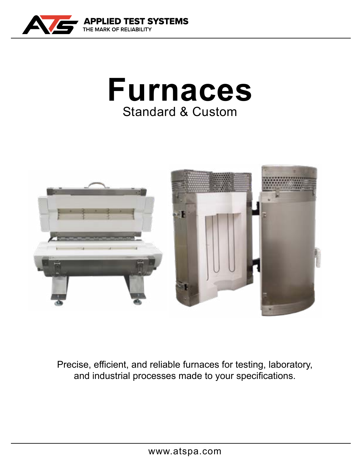





Precise, efficient, and reliable furnaces for testing, laboratory, and industrial processes made to your specifications.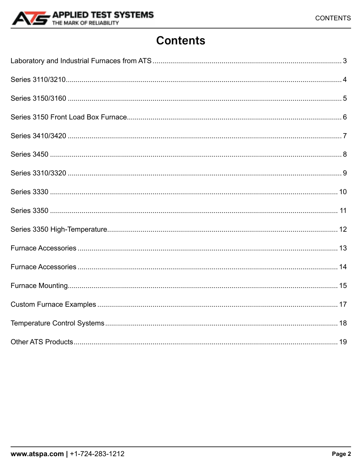

### **Contents**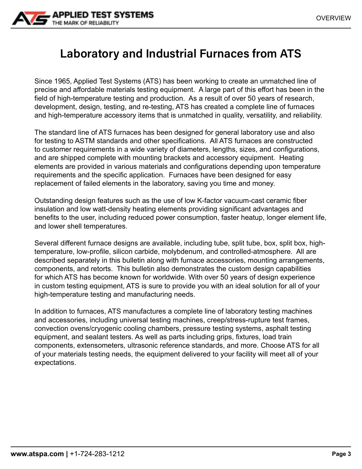<span id="page-2-0"></span>

### **Laboratory and Industrial Furnaces from ATS**

Since 1965, Applied Test Systems (ATS) has been working to create an unmatched line of precise and affordable materials testing equipment. A large part of this effort has been in the field of high-temperature testing and production. As a result of over 50 years of research, development, design, testing, and re-testing, ATS has created a complete line of furnaces and high-temperature accessory items that is unmatched in quality, versatility, and reliability.

The standard line of ATS furnaces has been designed for general laboratory use and also for testing to ASTM standards and other specifications. All ATS furnaces are constructed to customer requirements in a wide variety of diameters, lengths, sizes, and configurations, and are shipped complete with mounting brackets and accessory equipment. Heating elements are provided in various materials and configurations depending upon temperature requirements and the specific application. Furnaces have been designed for easy replacement of failed elements in the laboratory, saving you time and money.

Outstanding design features such as the use of low K-factor vacuum-cast ceramic fiber insulation and low watt-density heating elements providing significant advantages and benefits to the user, including reduced power consumption, faster heatup, longer element life, and lower shell temperatures.

Several different furnace designs are available, including tube, split tube, box, split box, hightemperature, low-profile, silicon carbide, molybdenum, and controlled-atmosphere. All are described separately in this bulletin along with furnace accessories, mounting arrangements, components, and retorts. This bulletin also demonstrates the custom design capabilities for which ATS has become known for worldwide. With over 50 years of design experience in custom testing equipment, ATS is sure to provide you with an ideal solution for all of your high-temperature testing and manufacturing needs.

In addition to furnaces, ATS manufactures a complete line of laboratory testing machines and accessories, including universal testing machines, creep/stress-rupture test frames, convection ovens/cryogenic cooling chambers, pressure testing systems, asphalt testing equipment, and sealant testers. As well as parts including grips, fixtures, load train components, extensometers, ultrasonic reference standards, and more. Choose ATS for all of your materials testing needs, the equipment delivered to your facility will meet all of your expectations.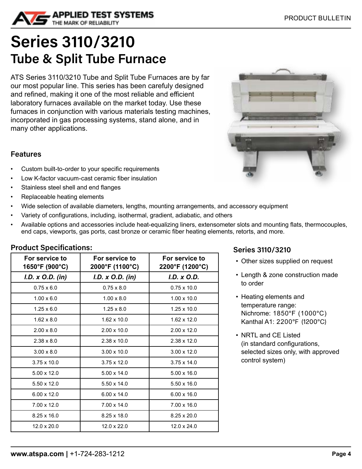<span id="page-3-0"></span>

## **Series 3110/3210 Tube & Split Tube Furnace**

ATS Series 3110/3210 Tube and Split Tube Furnaces are by far our most popular line. This series has been carefuly designed and refined, making it one of the most reliable and efficient laboratory furnaces available on the market today. Use these furnaces in conjunction with various materials testing machines, incorporated in gas processing systems, stand alone, and in many other applications.



#### **Features**

- Custom built-to-order to your specific requirements
- Low K-factor vacuum-cast ceramic fiber insulation
- Stainless steel shell and end flanges
- Replaceable heating elements
- Wide selection of available diameters, lengths, mounting arrangements, and accessory equipment
- Variety of configurations, including, isothermal, gradient, adiabatic, and others
- Available options and accessories include heat-equalizing liners, extensometer slots and mounting flats, thermocouples, end caps, viewports, gas ports, cast bronze or ceramic fiber heating elements, retorts, and more.

#### **Product Specifications:**

| For service to<br>1650°F (900°C) | For service to<br>2000°F (1100°C) | For service to<br>2200°F (1200°C) |
|----------------------------------|-----------------------------------|-----------------------------------|
| I.D. x O.D. (in)                 | I.D. x O.D. (in)                  | I.D. x O.D.                       |
| $0.75 \times 6.0$                | $0.75 \times 8.0$                 | $0.75 \times 10.0$                |
| $1.00 \times 6.0$                | $1.00 \times 8.0$                 | $1.00 \times 10.0$                |
| $1.25 \times 6.0$                | $1.25 \times 8.0$                 | $1.25 \times 10.0$                |
| $1.62 \times 8.0$                | $1.62 \times 10.0$                | $1.62 \times 12.0$                |
| $2.00 \times 8.0$                | $2.00 \times 10.0$                | $2.00 \times 12.0$                |
| $2.38 \times 8.0$                | 2.38 x 10.0                       | 2.38 x 12.0                       |
| $3.00 \times 8.0$                | $3.00 \times 10.0$                | $3.00 \times 12.0$                |
| $3.75 \times 10.0$               | $3.75 \times 12.0$                | $3.75 \times 14.0$                |
| $5.00 \times 12.0$               | $5.00 \times 14.0$                | $5.00 \times 16.0$                |
| $5.50 \times 12.0$               | $5.50 \times 14.0$                | $5.50 \times 16.0$                |
| $6.00 \times 12.0$               | $6.00 \times 14.0$                | $6.00 \times 16.0$                |
| $7.00 \times 12.0$               | $7.00 \times 14.0$                | $7.00 \times 16.0$                |
| $8.25 \times 16.0$               | $8.25 \times 18.0$                | $8.25 \times 20.0$                |
| $12.0 \times 20.0$               | $12.0 \times 22.0$                | $12.0 \times 24.0$                |

#### **Series 3110/3210**

- Other sizes supplied on request
- Length & zone construction made to order
- Heating elements and temperature range: Nichrome: 1850°F (1000°C) Kanthal A1: 2200°F (1200°C)
- NRTL and CE Listed (in standard configurations, selected sizes only, with approved control system)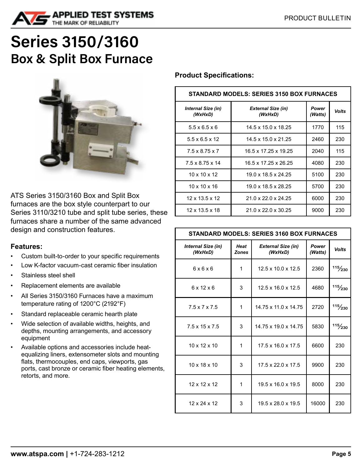<span id="page-4-0"></span>

### **Series 3150/3160 Box & Split Box Furnace**



ATS Series 3150/3160 Box and Split Box furnaces are the box style counterpart to our Series 3110/3210 tube and split tube series, these furnaces share a number of the same advanced design and construction features.

#### **Features:**

- Custom built-to-order to your specific requirements
- Low K-factor vacuum-cast ceramic fiber insulation
- Stainless steel shell
- Replacement elements are available
- All Series 3150/3160 Furnaces have a maximum temperature rating of 1200°C (2192°F)
- Standard replaceable ceramic hearth plate
- Wide selection of available widths, heights, and depths, mounting arrangements, and accessory equipment
- Available options and accessories include heatequalizing liners, extensometer slots and mounting flats, thermocouples, end caps, viewports, gas ports, cast bronze or ceramic fiber heating elements, retorts, and more.

#### **Product Specifications:**

| <b>STANDARD MODELS: SERIES 3150 BOX FURNACES</b> |                                      |                  |              |  |  |
|--------------------------------------------------|--------------------------------------|------------------|--------------|--|--|
| <b>Internal Size (in)</b><br>(WxHxD)             | <b>External Size (in)</b><br>(WxHxD) | Power<br>(Watts) | <b>Volts</b> |  |  |
| $5.5 \times 6.5 \times 6$                        | 14.5 x 15.0 x 18.25                  | 1770             | 115          |  |  |
| $5.5 \times 6.5 \times 12$                       | 14.5 x 15.0 x 21.25                  | 2460             | 230          |  |  |
| $7.5 \times 8.75 \times 7$                       | 16.5 x 17.25 x 19.25                 | 2040             | 115          |  |  |
| $7.5 \times 8.75 \times 14$                      | 16.5 x 17.25 x 26.25                 | 4080             | 230          |  |  |
| $10 \times 10 \times 12$                         | 19.0 x 18.5 x 24.25                  | 5100             | 230          |  |  |
| $10 \times 10 \times 16$                         | 19.0 x 18.5 x 28.25                  | 5700             | 230          |  |  |
| 12 x 13.5 x 12                                   | 21.0 x 22.0 x 24.25                  | 6000             | 230          |  |  |
| 12 x 13.5 x 18                                   | 21.0 x 22.0 x 30.25                  | 9000             | 230          |  |  |

#### **STANDARD MODELS: SERIES 3160 BOX FURNACES**

| Internal Size (in)<br>(WxHxD) | Heat<br><b>Zones</b> | <b>External Size (in)</b><br>(WxHxD) | <b>Power</b><br>(Watts) | <b>Volts</b> |
|-------------------------------|----------------------|--------------------------------------|-------------------------|--------------|
| 6x6x6                         | 1                    | $12.5 \times 10.0 \times 12.5$       | 2360                    | 115/230      |
| $6 \times 12 \times 6$        | 3                    | $12.5 \times 16.0 \times 12.5$       | 4680                    | 115/230      |
| $7.5 \times 7 \times 7.5$     | 1                    | 14.75 x 11.0 x 14.75                 | 2720                    | 115/230      |
| $7.5 \times 15 \times 7.5$    | 3                    | 14.75 x 19.0 x 14.75                 | 5830                    | 115/230      |
| $10 \times 12 \times 10$      | 1                    | $17.5 \times 16.0 \times 17.5$       | 6600                    | 230          |
| $10 \times 18 \times 10$      | 3                    | $17.5 \times 22.0 \times 17.5$       | 9900                    | 230          |
| 12 x 12 x 12                  | 1                    | $19.5 \times 16.0 \times 19.5$       | 8000                    | 230          |
| 12 x 24 x 12                  | 3                    | $19.5 \times 28.0 \times 19.5$       | 16000                   | 230          |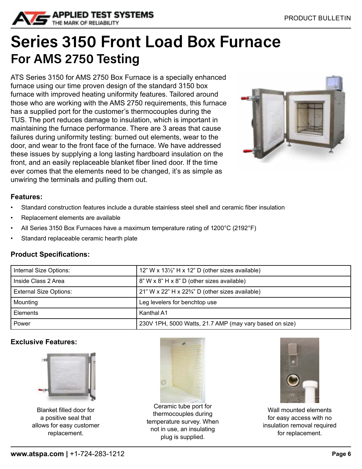<span id="page-5-0"></span>

## **Series 3150 Front Load Box Furnace For AMS 2750 Testing**

ATS Series 3150 for AMS 2750 Box Furnace is a specially enhanced furnace using our time proven design of the standard 3150 box furnace with improved heating uniformity features. Tailored around those who are working with the AMS 2750 requirements, this furnace has a supplied port for the customer's thermocouples during the TUS. The port reduces damage to insulation, which is important in maintaining the furnace performance. There are 3 areas that cause failures during uniformity testing: burned out elements, wear to the door, and wear to the front face of the furnace. We have addressed these issues by supplying a long lasting hardboard insulation on the front, and an easily replaceable blanket fiber lined door. If the time ever comes that the elements need to be changed, it's as simple as unwiring the terminals and pulling them out.



#### **Features:**

- Standard construction features include a durable stainless steel shell and ceramic fiber insulation
- Replacement elements are available
- All Series 3150 Box Furnaces have a maximum temperature rating of 1200°C (2192°F)
- Standard replaceable ceramic hearth plate

#### **Product Specifications:**

| Internal Size Options:        | 12" W x $13\frac{1}{2}$ " H x 12" D (other sizes available)   |
|-------------------------------|---------------------------------------------------------------|
| Inside Class 2 Area           | 8" W x 8" H x 8" D (other sizes available)                    |
| <b>External Size Options:</b> | 21" W x 22" H x 22 <sup>3</sup> /4" D (other sizes available) |
| Mounting                      | Leg levelers for benchtop use                                 |
| Elements                      | Kanthal A1                                                    |
| Power                         | 230V 1PH, 5000 Watts, 21.7 AMP (may vary based on size)       |

#### **Exclusive Features:**



Blanket filled door for a positive seal that allows for easy customer replacement.



Ceramic tube port for thermocouples during temperature survey. When not in use, an insulating plug is supplied.



Wall mounted elements for easy access with no insulation removal required for replacement.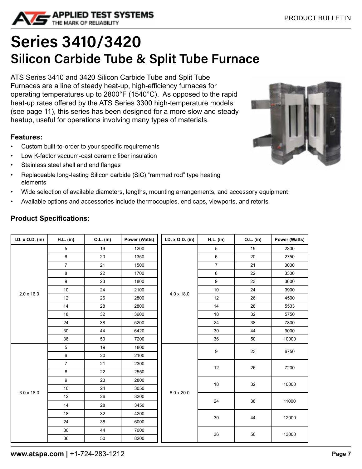<span id="page-6-0"></span>

## **Series 3410/3420 Silicon Carbide Tube & Split Tube Furnace**

ATS Series 3410 and 3420 Silicon Carbide Tube and Split Tube Furnaces are a line of steady heat-up, high-efficiency furnaces for operating temperatures up to 2800°F (1540°C). As opposed to the rapid heat-up rates offered by the ATS Series 3300 high-temperature models (see page 11), this series has been designed for a more slow and steady heatup, useful for operations involving many types of materials.

#### **Features:**

- Custom built-to-order to your specific requirements
- Low K-factor vacuum-cast ceramic fiber insulation
- Stainless steel shell and end flanges
- Replaceable long-lasting Silicon carbide (SiC) "rammed rod" type heating elements
- Wide selection of available diameters, lengths, mounting arrangements, and accessory equipment
- Available options and accessories include thermocouples, end caps, viewports, and retorts

|  | <b>Product Specifications:</b> |
|--|--------------------------------|
|--|--------------------------------|

| I.D. x O.D. (in)  | <b>H.L.</b> (in) | O.L. (in) | Power (Watts) | I.D. x O.D. (in)  | <b>H.L.</b> (in) | O.L. (in) | Power (Watts) |
|-------------------|------------------|-----------|---------------|-------------------|------------------|-----------|---------------|
|                   | 5                | 19        | 1200          |                   | 5                | 19        | 2300          |
|                   | 6                | 20        | 1350          |                   | 6                | 20        | 2750          |
|                   | $\boldsymbol{7}$ | 21        | 1500          |                   | $\overline{7}$   | 21        | 3000          |
|                   | $\bf 8$          | 22        | 1700          |                   | 8                | 22        | 3300          |
|                   | $\boldsymbol{9}$ | 23        | 1800          |                   | 9                | 23        | 3600          |
| $2.0 \times 16.0$ | $10\,$           | 24        | 2100          | $4.0 \times 18.0$ | 10               | 24        | 3900          |
|                   | 12               | 26        | 2800          |                   | 12               | 26        | 4500          |
|                   | 14               | 28        | 2800          |                   | 14               | 28        | 5533          |
|                   | 18               | 32        | 3600          |                   | 18               | 32        | 5750          |
|                   | 24               | 38        | 5200          |                   | 24               | 38        | 7800          |
|                   | 30               | 44        | 6420          |                   | 30               | 44        | 9000          |
|                   | 36               | 50        | 7200          |                   | 36               | 50        | 10000         |
|                   | $\overline{5}$   | 19        | 1800          |                   | 9                | 23        | 6750          |
|                   | $\,6\,$          | 20        | 2100          |                   |                  |           |               |
|                   | $\overline{7}$   | 21        | 2300          |                   | 12               | 26        | 7200          |
|                   | 8                | 22        | 2550          |                   |                  |           |               |
|                   | 9                | 23        | 2800          |                   | 18               | 32        | 10000         |
| $3.0 \times 18.0$ | $10\,$           | 24        | 3050          |                   |                  |           |               |
|                   | 12               | 26        | 3200          | 6.0 x 20.0        |                  |           |               |
|                   | 14               | 28        | 3450          |                   | 24               | $38\,$    | 11000         |
|                   | 18               | 32        | 4200          |                   |                  |           |               |
|                   | 24               | 38        | 6000          |                   | $30\,$           | 44        | 12000         |
|                   | $30\,$           | 44        | 7000          |                   | 36               |           | 13000         |
|                   | 36               | $50\,$    | 8200          |                   |                  | 50        |               |

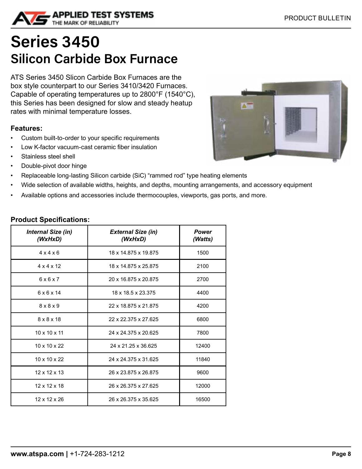<span id="page-7-0"></span>

### **Series 3450 Silicon Carbide Box Furnace**

ATS Series 3450 Slicon Carbide Box Furnaces are the box style counterpart to our Series 3410/3420 Furnaces. Capable of operating temperatures up to 2800°F (1540°C), this Series has been designed for slow and steady heatup rates with minimal temperature losses.

#### **Features:**

- Custom built-to-order to your specific requirements
- Low K-factor vacuum-cast ceramic fiber insulation
- Stainless steel shell
- Double-pivot door hinge
- Replaceable long-lasting Silicon carbide (SiC) "rammed rod" type heating elements
- Wide selection of available widths, heights, and depths, mounting arrangements, and accessory equipment
- Available options and accessories include thermocouples, viewports, gas ports, and more.

| <b>Internal Size (in)</b><br>(WxHxD) | <b>External Size (in)</b><br>(WxHxD) | Power<br>(Watts) |
|--------------------------------------|--------------------------------------|------------------|
| $4 \times 4 \times 6$                | 18 x 14.875 x 19.875                 | 1500             |
| $4 \times 4 \times 12$               | 18 x 14.875 x 25.875                 | 2100             |
| 6x6x7                                | 20 x 16.875 x 20.875                 | 2700             |
| $6 \times 6 \times 14$               | 18 x 18.5 x 23.375                   | 4400             |
| $8 \times 8 \times 9$                | 22 x 18.875 x 21.875                 | 4200             |
| 8 x 8 x 18                           | 22 x 22.375 x 27.625                 | 6800             |
| $10 \times 10 \times 11$             | 24 x 24.375 x 20.625                 | 7800             |
| $10 \times 10 \times 22$             | 24 x 21.25 x 36.625                  | 12400            |
| $10 \times 10 \times 22$             | 24 x 24.375 x 31.625                 | 11840            |
| 12 x 12 x 13                         | 26 x 23.875 x 26.875                 | 9600             |
| $12 \times 12 \times 18$             | 26 x 26.375 x 27.625                 | 12000            |
| 12 x 12 x 26                         | 26 x 26.375 x 35.625                 | 16500            |

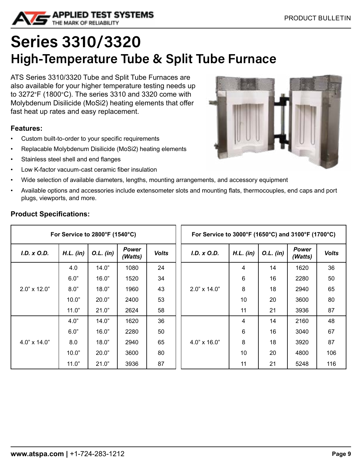<span id="page-8-0"></span>

# **Series 3310/3320 High-Temperature Tube & Split Tube Furnace**

ATS Series 3310/3320 Tube and Split Tube Furnaces are also available for your higher temperature testing needs up to 3272°F (1800°C). The series 3310 and 3320 come with Molybdenum Disilicide (MoSi2) heating elements that offer fast heat up rates and easy replacement.

#### **Features:**

- Custom built-to-order to your specific requirements
- Replacable Molybdenum Disilicide (MoSi2) heating elements
- Stainless steel shell and end flanges
- Low K-factor vacuum-cast ceramic fiber insulation
- Wide selection of available diameters, lengths, mounting arrangements, and accessory equipment
- Available options and accessories include extensometer slots and mounting flats, thermocouples, end caps and port plugs, viewports, and more.

| For Service to $2800^{\circ}$ F (1540 $^{\circ}$ C) |             |             | For Service to 3000°F (1650°C) and 3100°F (1700°C) |              |                     |             |             |                         |              |
|-----------------------------------------------------|-------------|-------------|----------------------------------------------------|--------------|---------------------|-------------|-------------|-------------------------|--------------|
| I.D. x O.D.                                         | $H.L.$ (in) | $O.L.$ (in) | <b>Power</b><br>(Watts)                            | <b>Volts</b> | I.D. x O.D.         | $H.L.$ (in) | $O.L.$ (in) | <b>Power</b><br>(Watts) | <b>Volts</b> |
|                                                     | 4.0         | 14.0"       | 1080                                               | 24           |                     | 4           | 14          | 1620                    | 36           |
|                                                     | 6.0"        | 16.0"       | 1520                                               | 34           |                     | 6           | 16          | 2280                    | 50           |
| $2.0" \times 12.0"$                                 | 8.0"        | 18.0"       | 1960                                               | 43           | $2.0" \times 14.0"$ | 8           | 18          | 2940                    | 65           |
|                                                     | 10.0"       | 20.0"       | 2400                                               | 53           |                     | 10          | 20          | 3600                    | 80           |
|                                                     | 11.0"       | 21.0"       | 2624                                               | 58           |                     | 11          | 21          | 3936                    | 87           |
|                                                     | 4.0"        | 14.0"       | 1620                                               | 36           |                     | 4           | 14          | 2160                    | 48           |
|                                                     | 6.0"        | 16.0"       | 2280                                               | 50           |                     | 6           | 16          | 3040                    | 67           |
| $4.0" \times 14.0"$                                 | 8.0         | 18.0"       | 2940                                               | 65           | $4.0" \times 16.0"$ | 8           | 18          | 3920                    | 87           |
|                                                     | 10.0"       | 20.0"       | 3600                                               | 80           |                     | 10          | 20          | 4800                    | 106          |
|                                                     | 11.0"       | 21.0"       | 3936                                               | 87           |                     | 11          | 21          | 5248                    | 116          |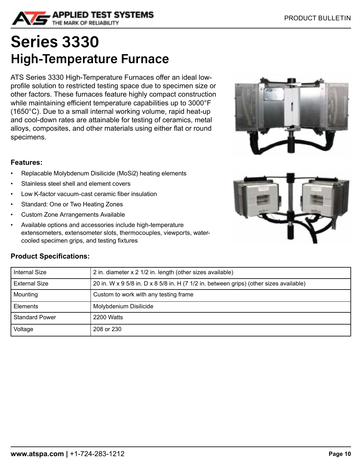<span id="page-9-0"></span>

### **Series 3330 High-Temperature Furnace**

ATS Series 3330 High-Temperature Furnaces offer an ideal lowprofile solution to restricted testing space due to specimen size or other factors. These furnaces feature highly compact construction while maintaining efficient temperature capabilities up to 3000°F (1650°C). Due to a small internal working volume, rapid heat-up and cool-down rates are attainable for testing of ceramics, metal alloys, composites, and other materials using either flat or round specimens.



- Replacable Molybdenum Disilicide (MoSi2) heating elements
- Stainless steel shell and element covers
- Low K-factor vacuum-cast ceramic fiber insulation
- Standard: One or Two Heating Zones
- Custom Zone Arrangements Available
- Available options and accessories include high-temperature extensometers, extensometer slots, thermocouples, viewports, watercooled specimen grips, and testing fixtures





| <b>Internal Size</b>  | 2 in. diameter x 2 1/2 in. length (other sizes available)                              |
|-----------------------|----------------------------------------------------------------------------------------|
| <b>External Size</b>  | 20 in. W x 9 5/8 in. D x 8 5/8 in. H (7 1/2 in. between grips) (other sizes available) |
| Mounting              | Custom to work with any testing frame                                                  |
| Elements              | Molybdenium Disilicide                                                                 |
| <b>Standard Power</b> | 2200 Watts                                                                             |
| Voltage               | 208 or 230                                                                             |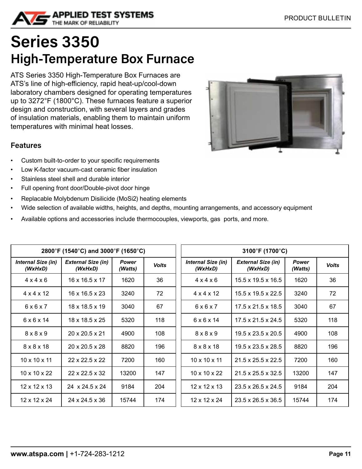<span id="page-10-0"></span>

### **Series 3350 High-Temperature Box Furnace**

ATS Series 3350 High-Temperature Box Furnaces are ATS's line of high-efficiency, rapid heat-up/cool-down laboratory chambers designed for operating temperatures up to 3272°F (1800°C). These furnaces feature a superior design and construction, with several layers and grades of insulation materials, enabling them to maintain uniform temperatures with minimal heat losses.

#### **Features**

- Custom built-to-order to your specific requirements
- Low K-factor vacuum-cast ceramic fiber insulation
- Stainless steel shell and durable interior
- Full opening front door/Double-pivot door hinge
- Replacable Molybdenum Disilicide (MoSi2) heating elements
- Wide selection of available widths, heights, and depths, mounting arrangements, and accessory equipment
- Available options and accessories include thermocouples, viewports, gas ports, and more.

| 2800°F (1540°C) and 3000°F (1650°C) |                                      |                         |              |                               | 3100°F (1700°C)                      |                         |              |
|-------------------------------------|--------------------------------------|-------------------------|--------------|-------------------------------|--------------------------------------|-------------------------|--------------|
| Internal Size (in)<br>(WxHxD)       | <b>External Size (in)</b><br>(WxHxD) | <b>Power</b><br>(Watts) | <b>Volts</b> | Internal Size (in)<br>(WxHxD) | <b>External Size (in)</b><br>(WxHxD) | <b>Power</b><br>(Watts) | <b>Volts</b> |
| $4 \times 4 \times 6$               | $16 \times 16.5 \times 17$           | 1620                    | 36           | $4 \times 4 \times 6$         | $15.5 \times 19.5 \times 16.5$       | 1620                    | 36           |
| $4 \times 4 \times 12$              | $16 \times 16.5 \times 23$           | 3240                    | 72           | $4 \times 4 \times 12$        | $15.5 \times 19.5 \times 22.5$       | 3240                    | 72           |
| 6x6x7                               | 18 x 18.5 x 19                       | 3040                    | 67           | 6x6x7                         | $17.5 \times 21.5 \times 18.5$       | 3040                    | 67           |
| $6 \times 6 \times 14$              | 18 x 18.5 x 25                       | 5320                    | 118          | $6 \times 6 \times 14$        | $17.5 \times 21.5 \times 24.5$       | 5320                    | 118          |
| $8 \times 8 \times 9$               | 20 x 20.5 x 21                       | 4900                    | 108          | $8 \times 8 \times 9$         | $19.5 \times 23.5 \times 20.5$       | 4900                    | 108          |
| 8 x 8 x 18                          | $20 \times 20.5 \times 28$           | 8820                    | 196          | 8 x 8 x 18                    | $19.5 \times 23.5 \times 28.5$       | 8820                    | 196          |
| $10 \times 10 \times 11$            | $22 \times 22.5 \times 22$           | 7200                    | 160          | $10 \times 10 \times 11$      | 21.5 x 25.5 x 22.5                   | 7200                    | 160          |
| $10 \times 10 \times 22$            | 22 x 22.5 x 32                       | 13200                   | 147          | $10 \times 10 \times 22$      | $21.5 \times 25.5 \times 32.5$       | 13200                   | 147          |
| $12 \times 12 \times 13$            | $24 \times 24.5 \times 24$           | 9184                    | 204          | $12 \times 12 \times 13$      | $23.5 \times 26.5 \times 24.5$       | 9184                    | 204          |
| 12 x 12 x 24                        | 24 x 24.5 x 36                       | 15744                   | 174          | 12 x 12 x 24                  | 23.5 x 26.5 x 36.5                   | 15744                   | 174          |

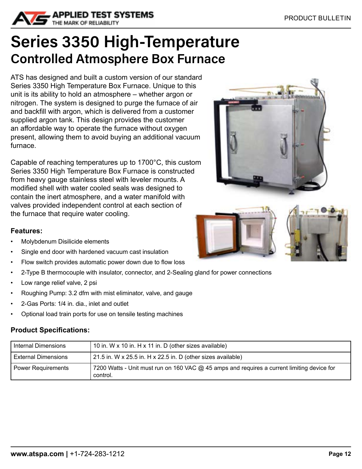<span id="page-11-0"></span>

### **Series 3350 High-Temperature Controlled Atmosphere Box Furnace**

ATS has designed and built a custom version of our standard Series 3350 High Temperature Box Furnace. Unique to this unit is its ability to hold an atmosphere – whether argon or nitrogen. The system is designed to purge the furnace of air and backfill with argon, which is delivered from a customer supplied argon tank. This design provides the customer an affordable way to operate the furnace without oxygen present, allowing them to avoid buying an additional vacuum furnace.

Capable of reaching temperatures up to 1700°C, this custom Series 3350 High Temperature Box Furnace is constructed from heavy gauge stainless steel with leveler mounts. A modified shell with water cooled seals was designed to contain the inert atmosphere, and a water manifold with valves provided independent control at each section of the furnace that require water cooling.

#### **Features:**

- Molybdenum Disilicide elements
- Single end door with hardened vacuum cast insulation
- Flow switch provides automatic power down due to flow loss
- 2-Type B thermocouple with insulator, connector, and 2-Sealing gland for power connections
- Low range relief valve, 2 psi
- Roughing Pump: 3.2 dfm with mist eliminator, valve, and gauge
- 2-Gas Ports: 1/4 in. dia., inlet and outlet
- Optional load train ports for use on tensile testing machines

| Internal Dimensions        | 10 in. W x 10 in. H x 11 in. D (other sizes available)                                     |
|----------------------------|--------------------------------------------------------------------------------------------|
| <b>External Dimensions</b> | $\vert$ 21.5 in. W x 25.5 in. H x 22.5 in. D (other sizes available)                       |
| <b>Power Requirements</b>  | 7200 Watts - Unit must run on 160 VAC @ 45 amps and requires a current limiting device for |
|                            | control.                                                                                   |



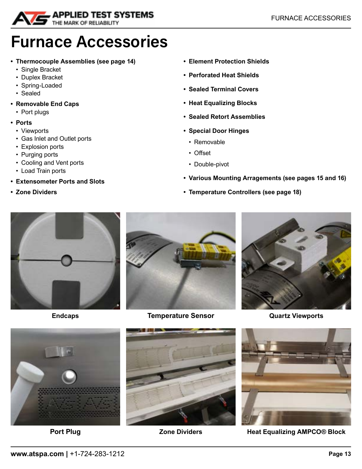<span id="page-12-0"></span>

### **Furnace Accessories**

- **• Thermocouple Assemblies (see page 14)**
	- Single Bracket
	- Duplex Bracket
	- Spring-Loaded
	- Sealed
- **• Removable End Caps**
	- Port plugs
- **• Ports**
	- Viewports
	- Gas Inlet and Outlet ports
	- Explosion ports
	- Purging ports
	- Cooling and Vent ports
	- Load Train ports
- **• Extensometer Ports and Slots**
- **• Zone Dividers**
- **• Element Protection Shields**
- **• Perforated Heat Shields**
- **• Sealed Terminal Covers**
- **• Heat Equalizing Blocks**
- **• Sealed Retort Assemblies**
- **• Special Door Hinges**
	- Removable
	- Offset
	- Double-pivot
- **• Various Mounting Arragements (see pages 15 and 16)**
- **• Temperature Controllers (see page 18)**





**Endcaps Temperature Sensor Quartz Viewports**









**Port Plug <b>Zone Dividers Heat Equalizing AMPCO® Block**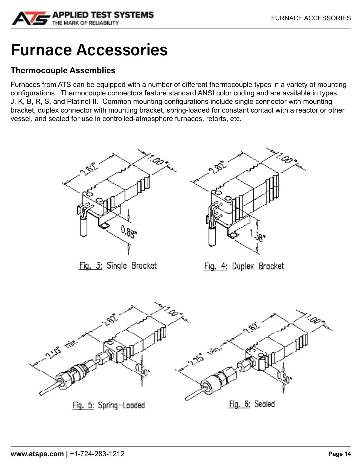<span id="page-13-0"></span>

# **Furnace Accessories**

#### **Thermocouple Assemblies**

Furnaces from ATS can be equipped with a number of different thermocouple types in a variety of mounting configurations. Thermocouple connectors feature standard ANSI color coding and are available in types J, K, B, R, S, and Platinel-II. Common mounting configurations include single connector with mounting bracket, duplex connector with mounting bracket, spring-loaded for constant contact with a reactor or other vessel, and sealed for use in controlled-atmosphere furnaces, retorts, etc.

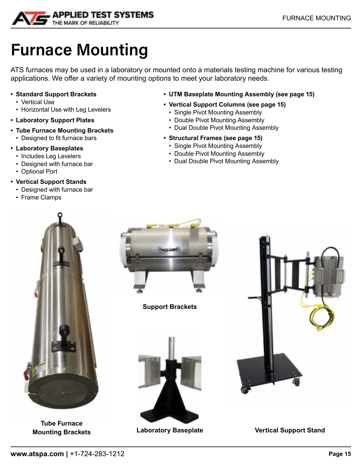<span id="page-14-0"></span>

# **Furnace Mounting**

ATS furnaces may be used in a laboratory or mounted onto a materials testing machine for various testing applications. We offer a variety of mounting options to meet your laboratory needs.

- **• Standard Support Brackets**
	- Vertical Use
	- Horizontal Use with Leg Levelers
- **• Laboratory Support Plates**
- **• Tube Furnace Mounting Brackets**
	- Designed to fit furnace bars
- **• Laboratory Baseplates**
	- Includes Leg Levelers
	- Designed with furnace bar
	- Optional Port
- **• Vertical Support Stands**
	- Designed with furnace bar
	- Frame Clamps
- **• UTM Baseplate Mounting Assembly (see page 15)**
- **• Vertical Support Columns (see page 15)**
	- Single Pivot Mounting Assembly
	- Double Pivot Mounting Assembly
	- Dual Double Pivot Mounting Assembly
- **• Structural Frames (see page 15)**
	- Single Pivot Mounting Assembly
	- Double Pivot Mounting Assembly
	- Dual Double Pivot Mounting Assembly



**Tube Furnace**



**Support Brackets**





**Mounting Brackets Laboratory Baseplate Vertical Support Stand**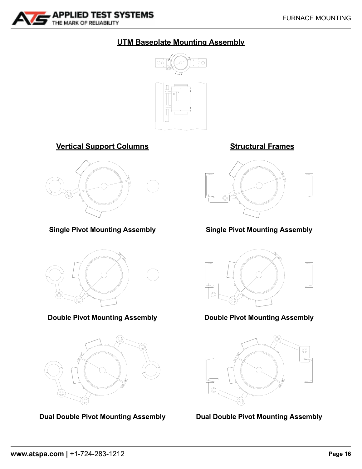

#### **UTM Baseplate Mounting Assembly**



**Vertical Support Columns Structural Frames**



**Single Pivot Mounting Assembly**



**Double Pivot Mounting Assembly**



**Dual Double Pivot Mounting Assembly**



**Single Pivot Mounting Assembly**



**Double Pivot Mounting Assembly**



**Dual Double Pivot Mounting Assembly**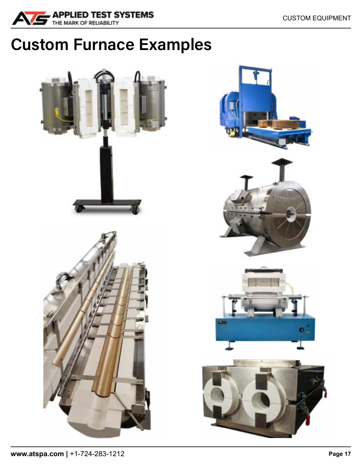<span id="page-16-0"></span>

# **Custom Furnace Examples**

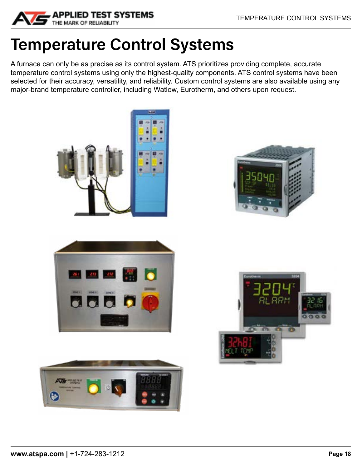<span id="page-17-0"></span>

# **Temperature Control Systems**

A furnace can only be as precise as its control system. ATS prioritizes providing complete, accurate temperature control systems using only the highest-quality components. ATS control systems have been selected for their accuracy, versatility, and reliability. Custom control systems are also available using any major-brand temperature controller, including Watlow, Eurotherm, and others upon request.